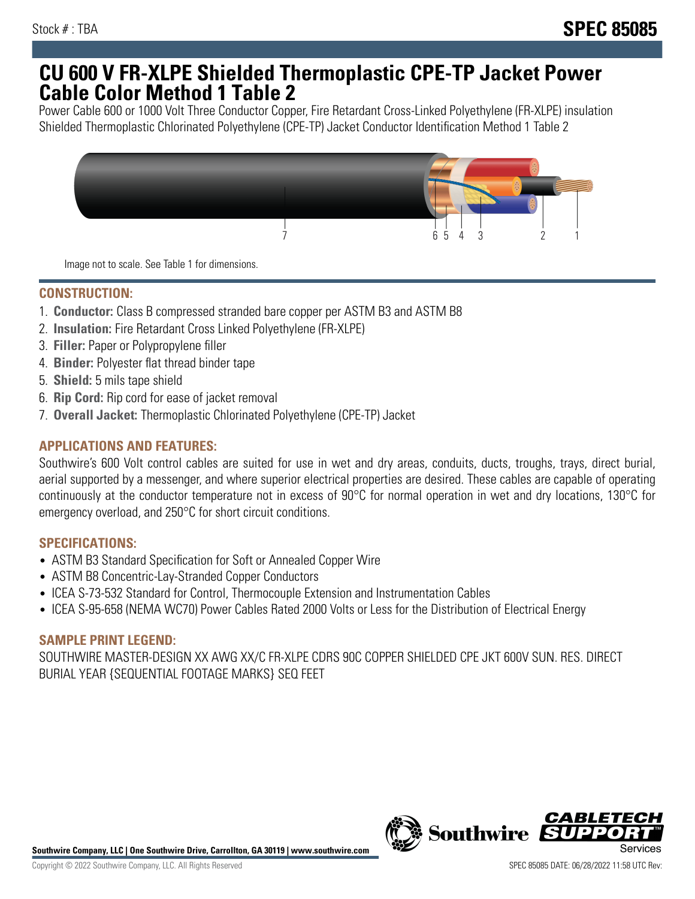## **CU 600 V FR-XLPE Shielded Thermoplastic CPE-TP Jacket Power Cable Color Method 1 Table 2**

Power Cable 600 or 1000 Volt Three Conductor Copper, Fire Retardant Cross-Linked Polyethylene (FR-XLPE) insulation Shielded Thermoplastic Chlorinated Polyethylene (CPE-TP) Jacket Conductor Identification Method 1 Table 2



Image not to scale. See Table 1 for dimensions.

## **CONSTRUCTION:**

- 1. **Conductor:** Class B compressed stranded bare copper per ASTM B3 and ASTM B8
- 2. **Insulation:** Fire Retardant Cross Linked Polyethylene (FR-XLPE)
- 3. **Filler:** Paper or Polypropylene filler
- 4. **Binder:** Polyester flat thread binder tape
- 5. **Shield:** 5 mils tape shield
- 6. **Rip Cord:** Rip cord for ease of jacket removal
- 7. **Overall Jacket:** Thermoplastic Chlorinated Polyethylene (CPE-TP) Jacket

## **APPLICATIONS AND FEATURES:**

Southwire's 600 Volt control cables are suited for use in wet and dry areas, conduits, ducts, troughs, trays, direct burial, aerial supported by a messenger, and where superior electrical properties are desired. These cables are capable of operating continuously at the conductor temperature not in excess of 90°C for normal operation in wet and dry locations, 130°C for emergency overload, and 250°C for short circuit conditions.

#### **SPECIFICATIONS:**

- ASTM B3 Standard Specification for Soft or Annealed Copper Wire
- ASTM B8 Concentric-Lay-Stranded Copper Conductors
- ICEA S-73-532 Standard for Control, Thermocouple Extension and Instrumentation Cables
- ICEA S-95-658 (NEMA WC70) Power Cables Rated 2000 Volts or Less for the Distribution of Electrical Energy

### **SAMPLE PRINT LEGEND:**

SOUTHWIRE MASTER-DESIGN XX AWG XX/C FR-XLPE CDRS 90C COPPER SHIELDED CPE JKT 600V SUN. RES. DIRECT BURIAL YEAR {SEQUENTIAL FOOTAGE MARKS} SEQ FEET